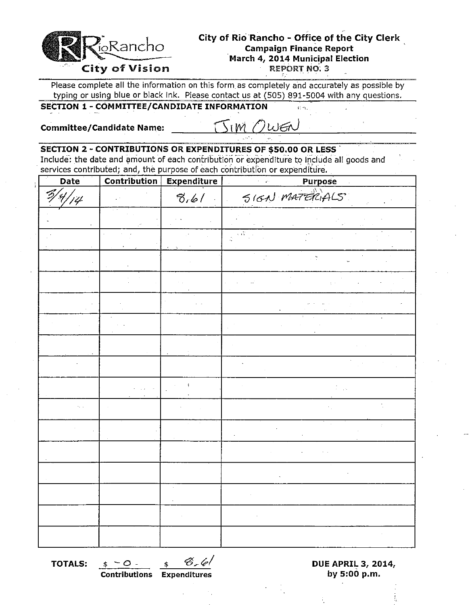

Please complete all the information on this form as completely and accurately as possible by typing or using blue or black ink. Please contact us at (505) 891-5004 with any questions.

# **SECTION 1 - COMMITTEE/CANDIDATE INFORMATION**

**Committee/Candidate Name:** 

W 九后

### **SECTION 2 -CONTRIBUTIONS OR EXPENDITURES OF \$50.00 OR LESS'**

Include: the date and amount of each contribution or expenditure to include all goods and services contributed; and, the purpose of each contribution or expenditure.

| Date           | Contribution | <b>Expenditure</b> | <b>Purpose</b><br>$\mathcal{C}^{\pm}$ |
|----------------|--------------|--------------------|---------------------------------------|
| $\frac{d}{dt}$ |              | 8.61               | SIGN MATERIALS                        |
|                |              |                    |                                       |
|                |              |                    | $\sqrt{N}$<br>$\frac{1}{2}$           |
|                |              |                    | $\frac{1}{2}$                         |
|                |              |                    |                                       |
|                |              |                    |                                       |
|                |              |                    |                                       |
|                |              |                    |                                       |
|                |              |                    |                                       |
|                |              |                    |                                       |
|                |              |                    |                                       |
|                |              |                    | ż                                     |
|                |              |                    |                                       |
|                |              |                    |                                       |
|                |              |                    |                                       |
|                |              |                    |                                       |
|                |              |                    |                                       |

**Contributions** Expenditures **by 5:00 p.m.** 

**TOTALS:**  $\frac{\$ - \bigcirc - \_\_\_\_$ \ \mathcal{D}-\_\_\_\_$}$  **DUE APRIL 3, 2014, DUE APRIL 3, 2014, DUE APRIL 3, 2014**,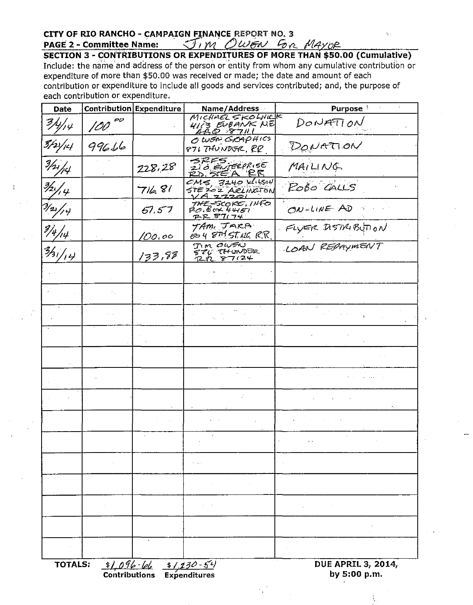CITY OF RIO RANCHO - CAMPAIGN FINANCE REPORT NO. 3<br>PAGE 2 - Committee Name:  $\frac{\sqrt{1}M}\frac{\partial W}{\partial n}$   $\frac{\partial W}{\partial n}$   $\frac{\partial M}{\partial n}$   $\frac{\partial M}{\partial n}$ <br>SECTION 3 - CONTRIBUTIONS OR EXPENDITURES OF MORE THAN \$50.00 (Cumulative) Include: the name and address of the person or entity from whom any cumulative contribution or expenditure of more than \$50.00 was received or made; the date and amount of each contribution or expenditure to include all goods and services contributed; and, the purpose of each contribution or expenditure.

| <b>Date</b>               |             | Contribution Expenditure                                                                                                      | Name/Address                                             | ÷<br>Purpose <sup>3</sup>                 |
|---------------------------|-------------|-------------------------------------------------------------------------------------------------------------------------------|----------------------------------------------------------|-------------------------------------------|
| 3/4/14                    | $100^{o}$   |                                                                                                                               | MICHAEL SKOLNICK<br><i>HIT'S EUBANK</i> NE<br>ABC2 87111 | DONATION                                  |
| 3/2\/14                   | 99616       |                                                                                                                               | O WEN GRAPHICS<br>876 THUNDGR. RR                        | DONATION                                  |
| 3/4/14                    |             | 228.28                                                                                                                        | 210 EVERPLISE<br>RD. STEA RR                             | MAILING                                   |
| $\frac{3}{2}/\frac{4}{4}$ |             | 716.81                                                                                                                        | $CMS$ , 3240 $1/150$<br>STEZOZ ARLINGTON<br>VA 22201     | ROBO CALLS                                |
| $\frac{7}{2}/\frac{4}{7}$ |             | 57.57                                                                                                                         | THE-SCOKE, INFO<br>PO.BOX 44151<br><u>PR 87174</u>       | ON-LINE AD                                |
| $\frac{3}{4}$ /14         |             | 100.00                                                                                                                        | TAM, JARA<br>604 8MST.uc R.R.                            | FLYER DISTRIBUTION                        |
| 3/44                      |             | 133,98                                                                                                                        | <b>TIM OWEN</b><br>STC THUNDER<br><u>RR 87124</u>        | LOAN REPAYMENT                            |
|                           |             |                                                                                                                               |                                                          |                                           |
|                           |             |                                                                                                                               |                                                          |                                           |
|                           |             |                                                                                                                               |                                                          |                                           |
|                           |             |                                                                                                                               |                                                          |                                           |
|                           |             |                                                                                                                               |                                                          |                                           |
|                           |             |                                                                                                                               |                                                          |                                           |
|                           |             |                                                                                                                               |                                                          |                                           |
|                           |             |                                                                                                                               |                                                          |                                           |
|                           |             |                                                                                                                               |                                                          |                                           |
|                           |             |                                                                                                                               | $\alpha \rightarrow \alpha \rightarrow 0$                |                                           |
|                           |             |                                                                                                                               |                                                          |                                           |
|                           |             |                                                                                                                               |                                                          |                                           |
|                           |             |                                                                                                                               |                                                          |                                           |
|                           |             |                                                                                                                               |                                                          |                                           |
| <b>TOTALS:</b>            | $1,096$ leb | $\frac{\frac{1}{2} \int \frac{\partial \hat{f}}{\partial t} - \frac{\partial f}{\partial x}}{\text{Continuous Expenditures}}$ |                                                          | <b>DUE APRIL 3, 2014,</b><br>by 5:00 p.m. |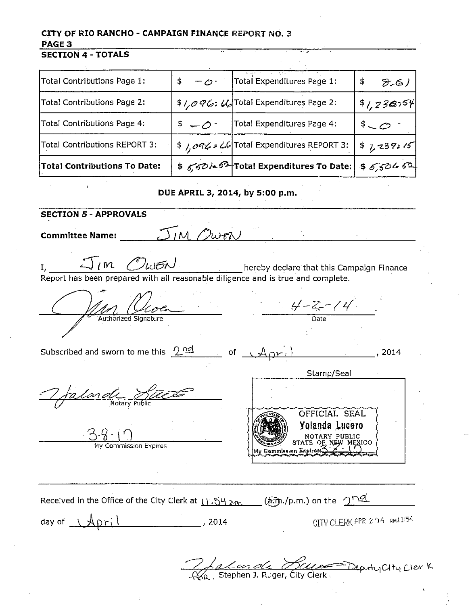# CITY OF RIO RANCHO - CAMPAIGN FINANCE REPORT NO. 3 PAGE<sub>3</sub>

#### **SECTION 4 - TOTALS**

| Total Contributions Page 1:         | $-0 -$<br>\$                                  | Total Expenditures Page 1:                                    | \$<br>8.61      |
|-------------------------------------|-----------------------------------------------|---------------------------------------------------------------|-----------------|
| Total Contributions Page 2:         |                                               | \$ $1,096$ : $66$ Total Expenditures Page 2:                  | \$1,230,54      |
| Total Contributions Page 4:         | $\sqrt[5]{2}$ + $\sqrt[5]{2}$ + $\sqrt[5]{2}$ | Total Expenditures Page 4:                                    | $$-\mathcal{O}$ |
| Total Contributions REPORT 3:       |                                               | \$ 1,096 = 66 Total Expenditures REPORT 3:                    | \$7,239:15      |
| <b>Total Contributions To Date:</b> |                                               | $$6,62$ / $$^{2}$ Total Expenditures To Date: \$6,504 $$^{2}$ |                 |

#### DUE APRIL 3, 2014, by 5:00 p.m.

**SECTION 5 - APPROVALS**  $J_{IM}$  Owen **Committee Name:**  $\mathcal{J}_{lm}$   $\mathcal{O}_{\omega}$ EN I, hereby declare that this Campaign Finance Report has been prepared with all reasonable diligence and is true and complete.  $\frac{4-2-14}{\text{Date}}$ Authorized Signature Subscribed and sworn to me this  $2^{nd}$  $-$  of  $\sqrt{A_\text{QFT}}$ , 2014 Stamp/Seal alande Du OFFICIAL SEAL Yolanda Lucero NOTARY PUBL<sub>STATE</sub> OF Not Commission Expires **Commission Expires** Received in the Office of the City Clerk at  $11.54 \, \text{km}$  (am./p.m.) on the  $2 \frac{rel}{=}$ CITY CLERK APR 2/14 AN1154 day of  $\Delta$ pril  $\sim$  2014 2 Ja Can de Hace Deputy City Cler K